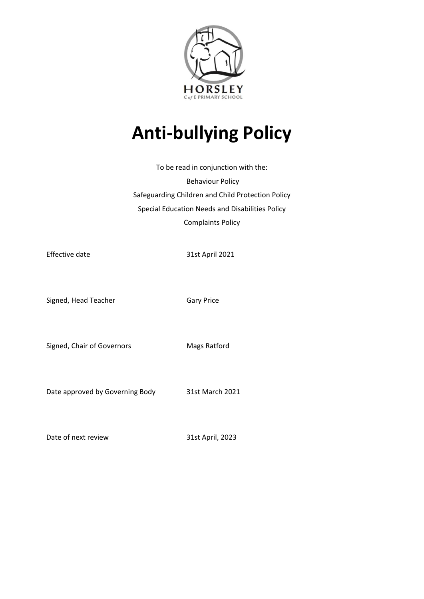

# **Anti-bullying Policy**

To be read in conjunction with the: Behaviour Policy Safeguarding Children and Child Protection Policy Special Education Needs and Disabilities Policy Complaints Policy

Effective date 31st April 2021

Signed, Head Teacher Gary Price

Signed, Chair of Governors Mags Ratford

Date approved by Governing Body 31st March 2021

Date of next review 31st April, 2023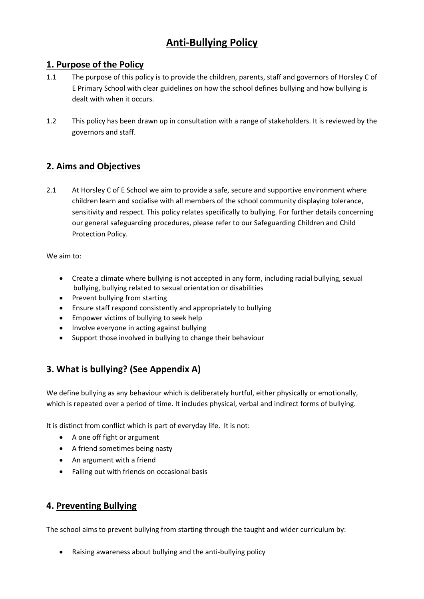## **Anti-Bullying Policy**

## **1. Purpose of the Policy**

- 1.1 The purpose of this policy is to provide the children, parents, staff and governors of Horsley C of E Primary School with clear guidelines on how the school defines bullying and how bullying is dealt with when it occurs.
- 1.2 This policy has been drawn up in consultation with a range of stakeholders. It is reviewed by the governors and staff.

## **2. Aims and Objectives**

2.1 At Horsley C of E School we aim to provide a safe, secure and supportive environment where children learn and socialise with all members of the school community displaying tolerance, sensitivity and respect. This policy relates specifically to bullying. For further details concerning our general safeguarding procedures, please refer to our Safeguarding Children and Child Protection Policy.

We aim to:

- Create a climate where bullying is not accepted in any form, including racial bullying, sexual bullying, bullying related to sexual orientation or disabilities
- Prevent bullying from starting
- Ensure staff respond consistently and appropriately to bullying
- Empower victims of bullying to seek help
- Involve everyone in acting against bullying
- Support those involved in bullying to change their behaviour

## **3. What is bullying? (See Appendix A)**

We define bullying as any behaviour which is deliberately hurtful, either physically or emotionally, which is repeated over a period of time. It includes physical, verbal and indirect forms of bullying.

It is distinct from conflict which is part of everyday life. It is not:

- A one off fight or argument
- A friend sometimes being nasty
- An argument with a friend
- Falling out with friends on occasional basis

## **4. Preventing Bullying**

The school aims to prevent bullying from starting through the taught and wider curriculum by:

Raising awareness about bullying and the anti-bullying policy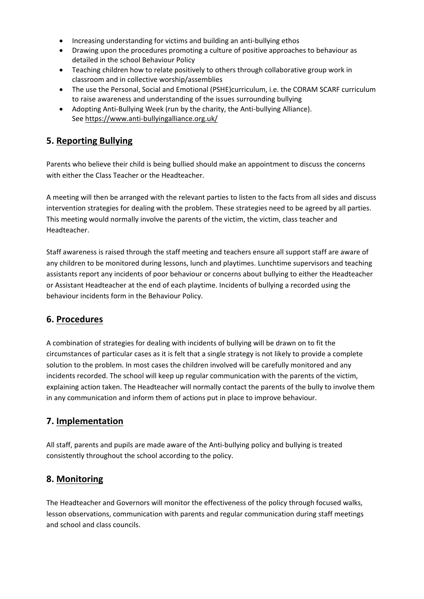- Increasing understanding for victims and building an anti-bullying ethos
- Drawing upon the procedures promoting a culture of positive approaches to behaviour as detailed in the school Behaviour Policy
- Teaching children how to relate positively to others through collaborative group work in classroom and in collective worship/assemblies
- The use the Personal, Social and Emotional (PSHE)curriculum, i.e. the CORAM SCARF curriculum to raise awareness and understanding of the issues surrounding bullying
- Adopting Anti-Bullying Week (run by the charity, the Anti-bullying Alliance). Se[e https://www.anti-bullyingalliance.org.uk/](https://www.anti-bullyingalliance.org.uk/)

## **5. Reporting Bullying**

Parents who believe their child is being bullied should make an appointment to discuss the concerns with either the Class Teacher or the Headteacher.

A meeting will then be arranged with the relevant parties to listen to the facts from all sides and discuss intervention strategies for dealing with the problem. These strategies need to be agreed by all parties. This meeting would normally involve the parents of the victim, the victim, class teacher and Headteacher.

Staff awareness is raised through the staff meeting and teachers ensure all support staff are aware of any children to be monitored during lessons, lunch and playtimes. Lunchtime supervisors and teaching assistants report any incidents of poor behaviour or concerns about bullying to either the Headteacher or Assistant Headteacher at the end of each playtime. Incidents of bullying a recorded using the behaviour incidents form in the Behaviour Policy.

## **6. Procedures**

A combination of strategies for dealing with incidents of bullying will be drawn on to fit the circumstances of particular cases as it is felt that a single strategy is not likely to provide a complete solution to the problem. In most cases the children involved will be carefully monitored and any incidents recorded. The school will keep up regular communication with the parents of the victim, explaining action taken. The Headteacher will normally contact the parents of the bully to involve them in any communication and inform them of actions put in place to improve behaviour.

## **7. Implementation**

All staff, parents and pupils are made aware of the Anti-bullying policy and bullying is treated consistently throughout the school according to the policy.

## **8. Monitoring**

The Headteacher and Governors will monitor the effectiveness of the policy through focused walks, lesson observations, communication with parents and regular communication during staff meetings and school and class councils.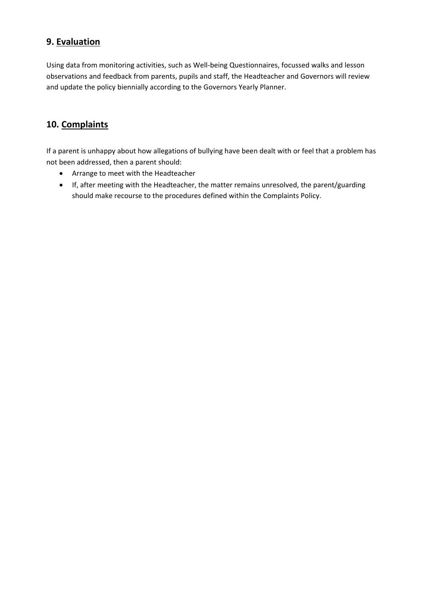## **9. Evaluation**

Using data from monitoring activities, such as Well-being Questionnaires, focussed walks and lesson observations and feedback from parents, pupils and staff, the Headteacher and Governors will review and update the policy biennially according to the Governors Yearly Planner.

## **10. Complaints**

If a parent is unhappy about how allegations of bullying have been dealt with or feel that a problem has not been addressed, then a parent should:

- Arrange to meet with the Headteacher
- If, after meeting with the Headteacher, the matter remains unresolved, the parent/guarding should make recourse to the procedures defined within the Complaints Policy.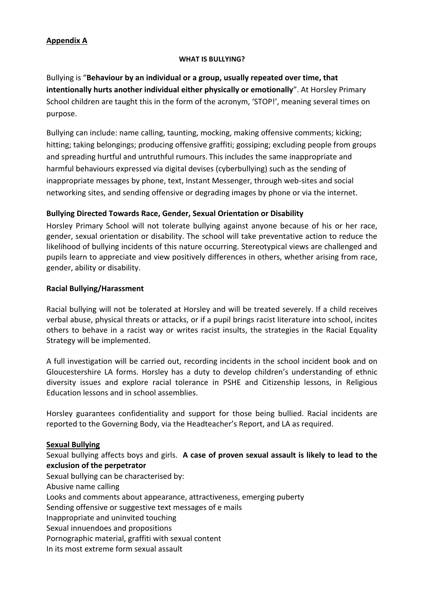## **Appendix A**

#### **WHAT IS BULLYING?**

Bullying is "**Behaviour by an individual or a group, usually repeated over time, that intentionally hurts another individual either physically or emotionally**". At Horsley Primary School children are taught this in the form of the acronym, 'STOP!', meaning several times on purpose.

Bullying can include: name calling, taunting, mocking, making offensive comments; kicking; hitting; taking belongings; producing offensive graffiti; gossiping; excluding people from groups and spreading hurtful and untruthful rumours. This includes the same inappropriate and harmful behaviours expressed via digital devises (cyberbullying) such as the sending of inappropriate messages by phone, text, Instant Messenger, through web-sites and social networking sites, and sending offensive or degrading images by phone or via the internet.

#### **Bullying Directed Towards Race, Gender, Sexual Orientation or Disability**

Horsley Primary School will not tolerate bullying against anyone because of his or her race, gender, sexual orientation or disability. The school will take preventative action to reduce the likelihood of bullying incidents of this nature occurring. Stereotypical views are challenged and pupils learn to appreciate and view positively differences in others, whether arising from race, gender, ability or disability.

#### **Racial Bullying/Harassment**

Racial bullying will not be tolerated at Horsley and will be treated severely. If a child receives verbal abuse, physical threats or attacks, or if a pupil brings racist literature into school, incites others to behave in a racist way or writes racist insults, the strategies in the Racial Equality Strategy will be implemented.

A full investigation will be carried out, recording incidents in the school incident book and on Gloucestershire LA forms. Horsley has a duty to develop children's understanding of ethnic diversity issues and explore racial tolerance in PSHE and Citizenship lessons, in Religious Education lessons and in school assemblies.

Horsley guarantees confidentiality and support for those being bullied. Racial incidents are reported to the Governing Body, via the Headteacher's Report, and LA as required.

#### **Sexual Bullying**

Sexual bullying affects boys and girls. **A case of proven sexual assault is likely to lead to the exclusion of the perpetrator**

Sexual bullying can be characterised by: Abusive name calling Looks and comments about appearance, attractiveness, emerging puberty Sending offensive or suggestive text messages of e mails Inappropriate and uninvited touching Sexual innuendoes and propositions Pornographic material, graffiti with sexual content

In its most extreme form sexual assault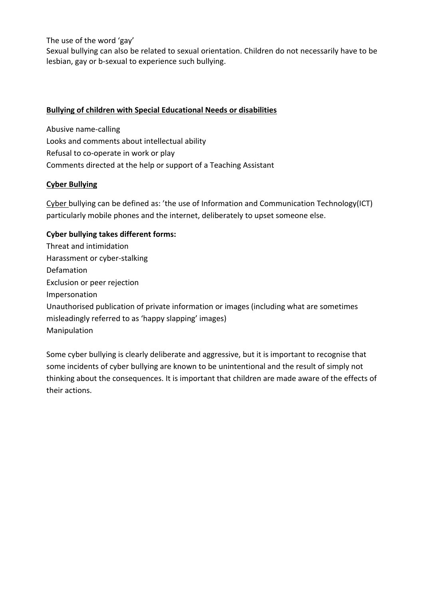The use of the word 'gay'

Sexual bullying can also be related to sexual orientation. Children do not necessarily have to be lesbian, gay or b-sexual to experience such bullying.

#### **Bullying of children with Special Educational Needs or disabilities**

Abusive name-calling Looks and comments about intellectual ability Refusal to co-operate in work or play Comments directed at the help or support of a Teaching Assistant

#### **Cyber Bullying**

Cyber bullying can be defined as: 'the use of Information and Communication Technology(ICT) particularly mobile phones and the internet, deliberately to upset someone else.

## **Cyber bullying takes different forms:**

Threat and intimidation Harassment or cyber-stalking Defamation Exclusion or peer rejection Impersonation Unauthorised publication of private information or images (including what are sometimes misleadingly referred to as 'happy slapping' images) Manipulation

Some cyber bullying is clearly deliberate and aggressive, but it is important to recognise that some incidents of cyber bullying are known to be unintentional and the result of simply not thinking about the consequences. It is important that children are made aware of the effects of their actions.